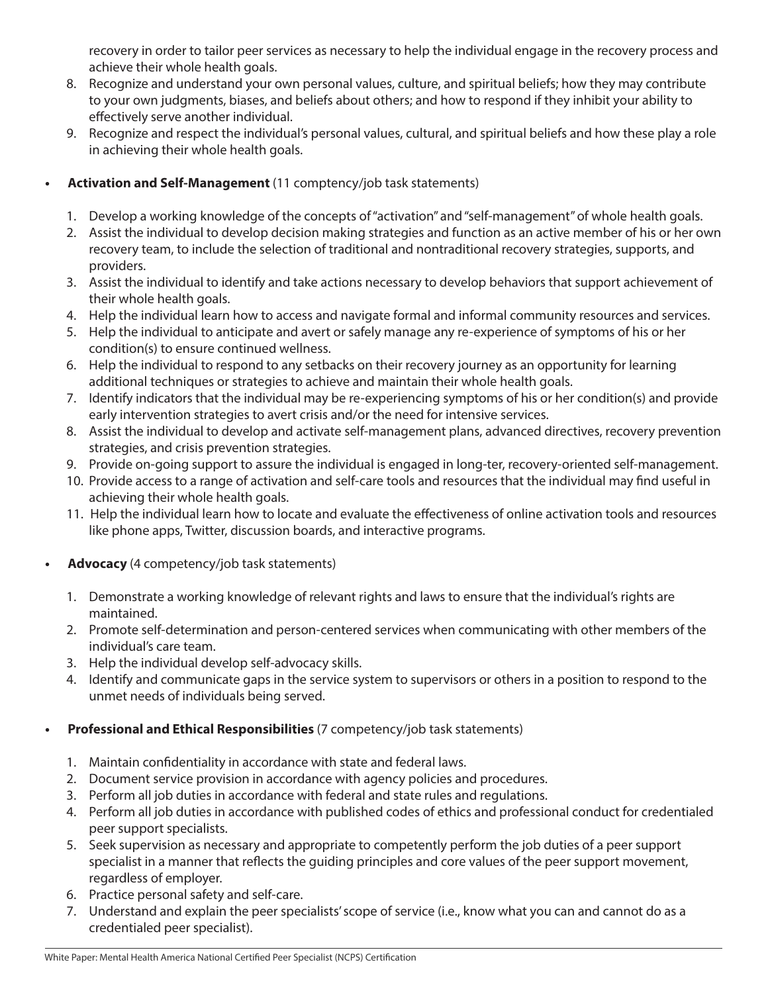recovery in order to tailor peer services as necessary to help the individual engage in the recovery process and achieve their whole health goals.

- 8. Recognize and understand your own personal values, culture, and spiritual beliefs; how they may contribute to your own judgments, biases, and beliefs about others; and how to respond if they inhibit your ability to effectively serve another individual.
- 9. Recognize and respect the individual's personal values, cultural, and spiritual beliefs and how these play a role in achieving their whole health goals.

#### **• Activation and Self-Management** (11 comptency/job task statements)

Develop a working knowledge of the concepts of "activation" and "self-management" of whole health goals. Assist the individual to develop decision making strategies and function as an active member of his or her own recovery team, to include the selection of traditional and nontraditional recovery strategies, supports, and providers.

Assist the individual to identify and take actions necessary to develop behaviors that support achievement of their whole health goals.

Help the individual learn how to access and navigate formal and informal community resources and services. Help the individual to anticipate and avert or safely manage any re-experience of symptoms of his or her condition(s) to ensure continued wellness.

Help the individual to respond to any setbacks on their recovery journey as an opportunity for learning additional techniques or strategies to achieve and maintain their whole health goals.

Identify indicators that the individual may be re-experiencing symptoms of his or her condition(s) and provide early intervention strategies to avert crisis and/or the need for intensive services.

Assist the individual to develop and activate self-management plans, advanced directives, recovery prevention strategies, and crisis prevention strategies.

Provide on-going support to assure the individual is engaged in long-terN, recovery-oriented selfmanagement.

Provide access to a range of activation and self-care tools and resources that the individual may find useful in achieving their whole health goals.

Help the individual learn how to locate and evaluate the effectiveness of online activation tools and resources like phone apps, Twitter, discussion boards, and interactive programs.

#### **• Advocacy** (4 competency/job task statements)

Demonstrate a working knowledge of relevant rights and laws to ensure that the individual's rights are maintained.

Promote self-determination and person-centered services when communicating with other members of the individual's care team.

Help the individual develop self-advocacy skills.

Identify and communicate gaps in the service system to supervisors or others in a position to respond to the unmet needs of individuals being served.

#### **• Professional and Ethical Responsibilities** (7 competency/job task statements)

Maintain confidentiality in accordance with state and federal laws.

Document service provision in accordance with agency policies and procedures.

Perform all job duties in accordance with federal and state rules and regulations.

Perform all job duties in accordance with published codes of ethics and professional conduct for credentialed peer support specialists.

Seek supervision as necessary and appropriate to competently perform the job duties of a peer support specialist in a manner that reflects the guiding principles and core values of the peer support movement, regardless of employer.

Practice personal safety and self-care.

Understand and explain the peer specialists' scope of service (i.e., know what you can and cannot do as a credentialed peer specialist).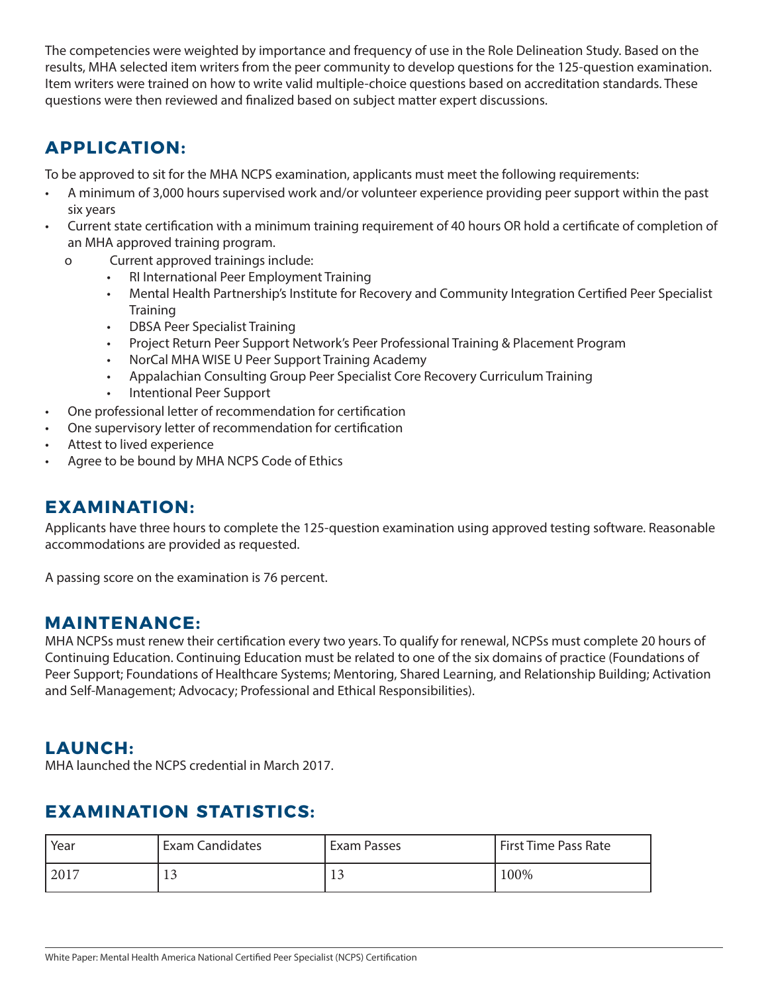The competencies were weighted by importance and frequency of use in the Role Delineation Study. Based on the results, MHA selected item writers from the peer community to develop questions for the 125-question examination. Item writers were trained on how to write valid multiple-choice questions based on accreditation standards. These questions were then reviewed and finalized based on subject matter expert discussions.

## **APPLICATION:**

To be approved to sit for the MHA NCPS examination, applicants must meet the following requirements:

- A minimum of 3,000 hours supervised work and/or volunteer experience providing peer support within the past six years
- Current state certification with a minimum training requirement of 40 hours OR hold a certificate of completion of an MHA approved training program.
	- o Current approved trainings include:
		- RI International Peer Employment Training
		- Mental Health Partnership's Institute for Recovery and Community Integration Certified Peer Specialist **Training**
		- DBSA Peer Specialist Training
		- Project Return Peer Support Network's Peer Professional Training & Placement Program
		- NorCal MHA WISE U Peer Support Training Academy
		- Appalachian Consulting Group Peer Specialist Core Recovery Curriculum Training
		- Intentional Peer Support
- One professional letter of recommendation for certification
- One supervisory letter of recommendation for certification
- Attest to lived experience
- Agree to be bound by MHA NCPS Code of Ethics

### **EXAMINATION:**

Applicants have three hours to complete the 125-question examination using approved testing software. Reasonable accommodations are provided as requested.

A passing score on the examination is 76 percent.

### **MAINTENANCE:**

MHA NCPSs must renew their certification every two years. To qualify for renewal, NCPSs must complete 20 hours of Continuing Education. Continuing Education must be related to one of the six domains of practice (Foundations of Peer Support; Foundations of Healthcare Systems; Mentoring, Shared Learning, and Relationship Building; Activation and Self-Management; Advocacy; Professional and Ethical Responsibilities).

### **LAUNCH:**

MHA launched the NCPS credential in March 2017.

# **EXAMINATION STATISTICS:**

| Year | Exam Candidates              | Exam Passes | <b>First Time Pass Rate</b> |
|------|------------------------------|-------------|-----------------------------|
| 2017 | 1 <sub>2</sub><br><b>I</b> J | $\sim$<br>ᆂ | 100%                        |